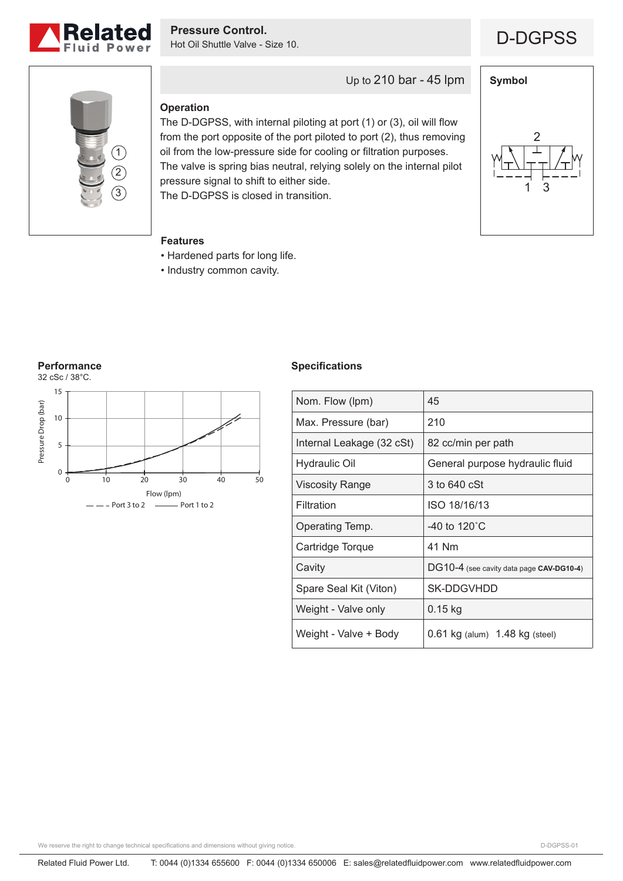

# P**ressure Control.**<br>Hot Oil Shuttle Valve - Size 10.



Up to 210 bar - 45 lpm

#### **Operation**

The D-DGPSS, with internal piloting at port (1) or (3), oil will flow from the port opposite of the port piloted to port (2), thus removing oil from the low-pressure side for cooling or filtration purposes. The valve is spring bias neutral, relying solely on the internal pilot pressure signal to shift to either side.

The D-DGPSS is closed in transition.

#### **Features**

- Hardened parts for long life.
- Industry common cavity.



#### **Specifications**

| Nom. Flow (lpm)           | 45                                       |
|---------------------------|------------------------------------------|
| Max. Pressure (bar)       | 210                                      |
| Internal Leakage (32 cSt) | 82 cc/min per path                       |
| Hydraulic Oil             | General purpose hydraulic fluid          |
| <b>Viscosity Range</b>    | 3 to 640 cSt                             |
| Filtration                | ISO 18/16/13                             |
| Operating Temp.           | -40 to 120 $^{\circ}$ C                  |
| Cartridge Torque          | 41 Nm                                    |
| Cavity                    | DG10-4 (see cavity data page CAV-DG10-4) |
| Spare Seal Kit (Viton)    | SK-DDGVHDD                               |
| Weight - Valve only       | 0.15 kg                                  |
| Weight - Valve + Body     | $0.61$ kg (alum) $1.48$ kg (steel)       |
|                           |                                          |